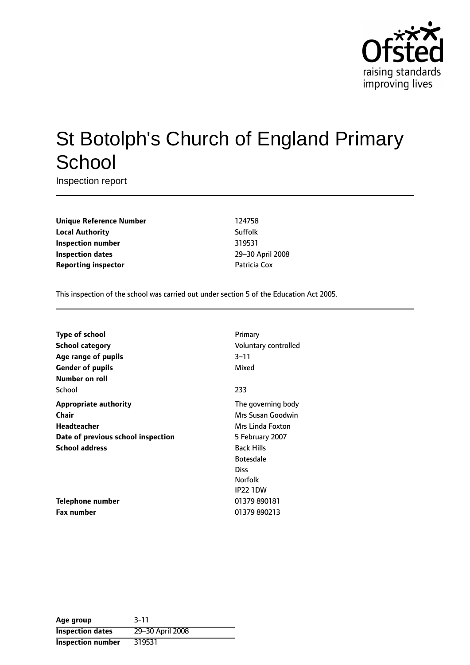

# St Botolph's Church of England Primary **School**

Inspection report

**Unique Reference Number** 124758 **Local Authority** Suffolk **Inspection number** 319531 **Inspection dates** 29-30 April 2008 **Reporting inspector COVID-10** Patricia Cox

This inspection of the school was carried out under section 5 of the Education Act 2005.

| <b>Type of school</b>              | Primary              |
|------------------------------------|----------------------|
| <b>School category</b>             | Voluntary controlled |
| Age range of pupils                | $3 - 11$             |
| <b>Gender of pupils</b>            | Mixed                |
| Number on roll                     |                      |
| School                             | 233                  |
| <b>Appropriate authority</b>       | The governing body   |
| Chair                              | Mrs Susan Goodwin    |
| <b>Headteacher</b>                 | Mrs Linda Foxton     |
| Date of previous school inspection | 5 February 2007      |
| <b>School address</b>              | <b>Back Hills</b>    |
|                                    | <b>Botesdale</b>     |
|                                    | <b>Diss</b>          |
|                                    | <b>Norfolk</b>       |
|                                    | <b>IP22 1DW</b>      |
| Telephone number                   | 01379 890181         |
| <b>Fax number</b>                  | 01379 890213         |

| Age group                | $3 - 11$         |
|--------------------------|------------------|
| <b>Inspection dates</b>  | 29-30 April 2008 |
| <b>Inspection number</b> | 319531           |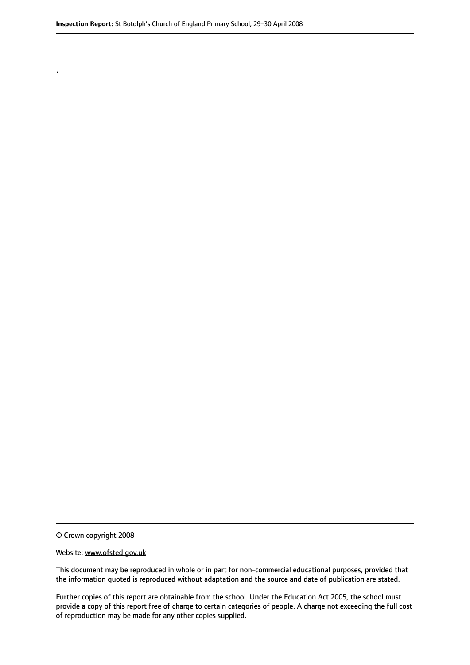© Crown copyright 2008

.

#### Website: www.ofsted.gov.uk

This document may be reproduced in whole or in part for non-commercial educational purposes, provided that the information quoted is reproduced without adaptation and the source and date of publication are stated.

Further copies of this report are obtainable from the school. Under the Education Act 2005, the school must provide a copy of this report free of charge to certain categories of people. A charge not exceeding the full cost of reproduction may be made for any other copies supplied.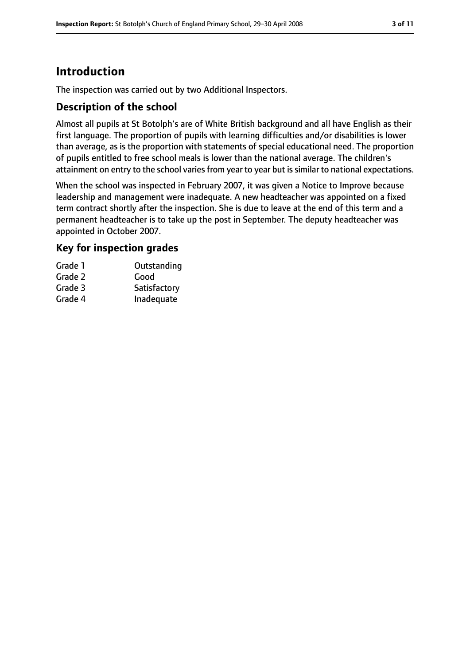# **Introduction**

The inspection was carried out by two Additional Inspectors.

### **Description of the school**

Almost all pupils at St Botolph's are of White British background and all have English as their first language. The proportion of pupils with learning difficulties and/or disabilities is lower than average, as is the proportion with statements of special educational need. The proportion of pupils entitled to free school meals is lower than the national average. The children's attainment on entry to the school varies from year to year but is similar to national expectations.

When the school was inspected in February 2007, it was given a Notice to Improve because leadership and management were inadequate. A new headteacher was appointed on a fixed term contract shortly after the inspection. She is due to leave at the end of this term and a permanent headteacher is to take up the post in September. The deputy headteacher was appointed in October 2007.

### **Key for inspection grades**

| Grade 1 | Outstanding  |
|---------|--------------|
| Grade 2 | Good         |
| Grade 3 | Satisfactory |
| Grade 4 | Inadequate   |
|         |              |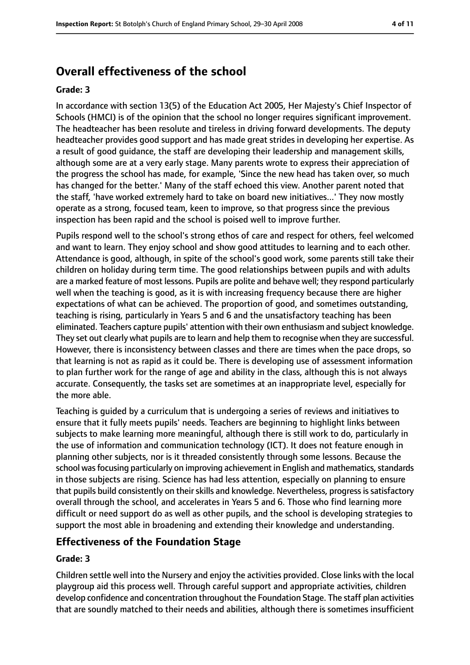# **Overall effectiveness of the school**

#### **Grade: 3**

In accordance with section 13(5) of the Education Act 2005, Her Majesty's Chief Inspector of Schools (HMCI) is of the opinion that the school no longer requires significant improvement. The headteacher has been resolute and tireless in driving forward developments. The deputy headteacher provides good support and has made great strides in developing her expertise. As a result of good guidance, the staff are developing their leadership and management skills, although some are at a very early stage. Many parents wrote to express their appreciation of the progress the school has made, for example, 'Since the new head has taken over, so much has changed for the better.' Many of the staff echoed this view. Another parent noted that the staff, 'have worked extremely hard to take on board new initiatives...' They now mostly operate as a strong, focused team, keen to improve, so that progress since the previous inspection has been rapid and the school is poised well to improve further.

Pupils respond well to the school's strong ethos of care and respect for others, feel welcomed and want to learn. They enjoy school and show good attitudes to learning and to each other. Attendance is good, although, in spite of the school's good work, some parents still take their children on holiday during term time. The good relationships between pupils and with adults are a marked feature of most lessons. Pupils are polite and behave well; they respond particularly well when the teaching is good, as it is with increasing frequency because there are higher expectations of what can be achieved. The proportion of good, and sometimes outstanding, teaching is rising, particularly in Years 5 and 6 and the unsatisfactory teaching has been eliminated. Teachers capture pupils' attention with their own enthusiasm and subject knowledge. They set out clearly what pupils are to learn and help them to recognise when they are successful. However, there is inconsistency between classes and there are times when the pace drops, so that learning is not as rapid as it could be. There is developing use of assessment information to plan further work for the range of age and ability in the class, although this is not always accurate. Consequently, the tasks set are sometimes at an inappropriate level, especially for the more able.

Teaching is guided by a curriculum that is undergoing a series of reviews and initiatives to ensure that it fully meets pupils' needs. Teachers are beginning to highlight links between subjects to make learning more meaningful, although there is still work to do, particularly in the use of information and communication technology (ICT). It does not feature enough in planning other subjects, nor is it threaded consistently through some lessons. Because the school was focusing particularly on improving achievement in English and mathematics, standards in those subjects are rising. Science has had less attention, especially on planning to ensure that pupils build consistently on their skills and knowledge. Nevertheless, progress is satisfactory overall through the school, and accelerates in Years 5 and 6. Those who find learning more difficult or need support do as well as other pupils, and the school is developing strategies to support the most able in broadening and extending their knowledge and understanding.

#### **Effectiveness of the Foundation Stage**

#### **Grade: 3**

Children settle well into the Nursery and enjoy the activities provided. Close links with the local playgroup aid this process well. Through careful support and appropriate activities, children develop confidence and concentration throughout the Foundation Stage. The staff plan activities that are soundly matched to their needs and abilities, although there is sometimes insufficient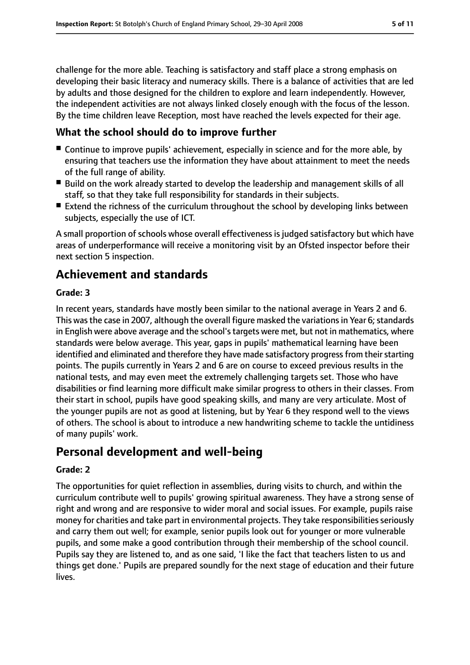challenge for the more able. Teaching is satisfactory and staff place a strong emphasis on developing their basic literacy and numeracy skills. There is a balance of activities that are led by adults and those designed for the children to explore and learn independently. However, the independent activities are not always linked closely enough with the focus of the lesson. By the time children leave Reception, most have reached the levels expected for their age.

### **What the school should do to improve further**

- Continue to improve pupils' achievement, especially in science and for the more able, by ensuring that teachers use the information they have about attainment to meet the needs of the full range of ability.
- Build on the work already started to develop the leadership and management skills of all staff, so that they take full responsibility for standards in their subjects.
- Extend the richness of the curriculum throughout the school by developing links between subjects, especially the use of ICT.

A small proportion of schools whose overall effectiveness is judged satisfactory but which have areas of underperformance will receive a monitoring visit by an Ofsted inspector before their next section 5 inspection.

# **Achievement and standards**

#### **Grade: 3**

In recent years, standards have mostly been similar to the national average in Years 2 and 6. This was the case in 2007, although the overall figure masked the variations in Year 6; standards in English were above average and the school'stargets were met, but not in mathematics, where standards were below average. This year, gaps in pupils' mathematical learning have been identified and eliminated and therefore they have made satisfactory progress from their starting points. The pupils currently in Years 2 and 6 are on course to exceed previous results in the national tests, and may even meet the extremely challenging targets set. Those who have disabilities or find learning more difficult make similar progress to others in their classes. From their start in school, pupils have good speaking skills, and many are very articulate. Most of the younger pupils are not as good at listening, but by Year 6 they respond well to the views of others. The school is about to introduce a new handwriting scheme to tackle the untidiness of many pupils' work.

# **Personal development and well-being**

#### **Grade: 2**

The opportunities for quiet reflection in assemblies, during visits to church, and within the curriculum contribute well to pupils' growing spiritual awareness. They have a strong sense of right and wrong and are responsive to wider moral and social issues. For example, pupils raise money for charities and take part in environmental projects. They take responsibilities seriously and carry them out well; for example, senior pupils look out for younger or more vulnerable pupils, and some make a good contribution through their membership of the school council. Pupils say they are listened to, and as one said, 'I like the fact that teachers listen to us and things get done.' Pupils are prepared soundly for the next stage of education and their future lives.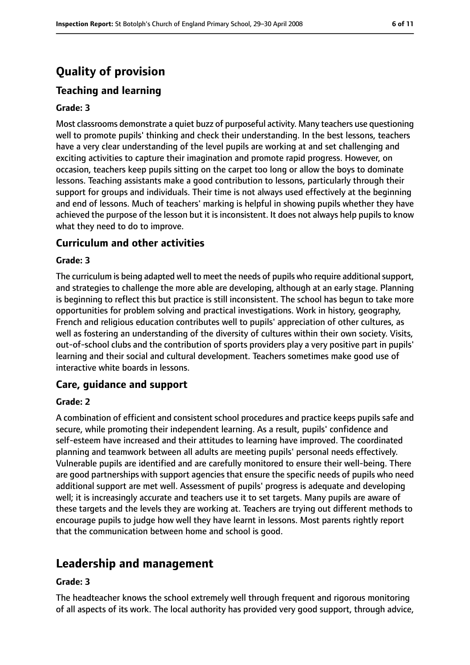# **Quality of provision**

### **Teaching and learning**

#### **Grade: 3**

Most classrooms demonstrate a quiet buzz of purposeful activity. Many teachers use questioning well to promote pupils' thinking and check their understanding. In the best lessons, teachers have a very clear understanding of the level pupils are working at and set challenging and exciting activities to capture their imagination and promote rapid progress. However, on occasion, teachers keep pupils sitting on the carpet too long or allow the boys to dominate lessons. Teaching assistants make a good contribution to lessons, particularly through their support for groups and individuals. Their time is not always used effectively at the beginning and end of lessons. Much of teachers' marking is helpful in showing pupils whether they have achieved the purpose of the lesson but it is inconsistent. It does not always help pupils to know what they need to do to improve.

#### **Curriculum and other activities**

#### **Grade: 3**

The curriculum is being adapted well to meet the needs of pupils who require additional support, and strategies to challenge the more able are developing, although at an early stage. Planning is beginning to reflect this but practice is still inconsistent. The school has begun to take more opportunities for problem solving and practical investigations. Work in history, geography, French and religious education contributes well to pupils' appreciation of other cultures, as well as fostering an understanding of the diversity of cultures within their own society. Visits, out-of-school clubs and the contribution of sports providers play a very positive part in pupils' learning and their social and cultural development. Teachers sometimes make good use of interactive white boards in lessons.

#### **Care, guidance and support**

#### **Grade: 2**

A combination of efficient and consistent school procedures and practice keeps pupils safe and secure, while promoting their independent learning. As a result, pupils' confidence and self-esteem have increased and their attitudes to learning have improved. The coordinated planning and teamwork between all adults are meeting pupils' personal needs effectively. Vulnerable pupils are identified and are carefully monitored to ensure their well-being. There are good partnerships with support agencies that ensure the specific needs of pupils who need additional support are met well. Assessment of pupils' progress is adequate and developing well; it is increasingly accurate and teachers use it to set targets. Many pupils are aware of these targets and the levels they are working at. Teachers are trying out different methods to encourage pupils to judge how well they have learnt in lessons. Most parents rightly report that the communication between home and school is good.

# **Leadership and management**

#### **Grade: 3**

The headteacher knows the school extremely well through frequent and rigorous monitoring of all aspects of its work. The local authority has provided very good support, through advice,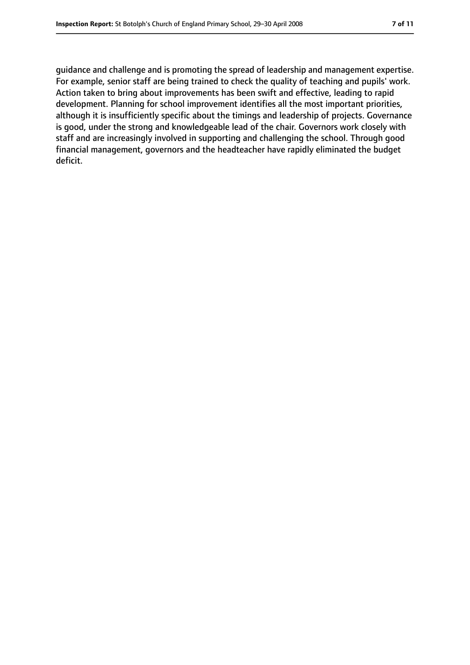guidance and challenge and is promoting the spread of leadership and management expertise. For example, senior staff are being trained to check the quality of teaching and pupils' work. Action taken to bring about improvements has been swift and effective, leading to rapid development. Planning for school improvement identifies all the most important priorities, although it is insufficiently specific about the timings and leadership of projects. Governance is good, under the strong and knowledgeable lead of the chair. Governors work closely with staff and are increasingly involved in supporting and challenging the school. Through good financial management, governors and the headteacher have rapidly eliminated the budget deficit.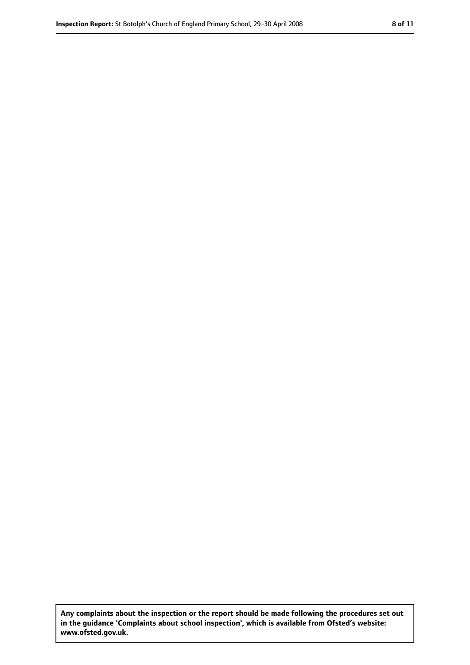**Any complaints about the inspection or the report should be made following the procedures set out in the guidance 'Complaints about school inspection', which is available from Ofsted's website: www.ofsted.gov.uk.**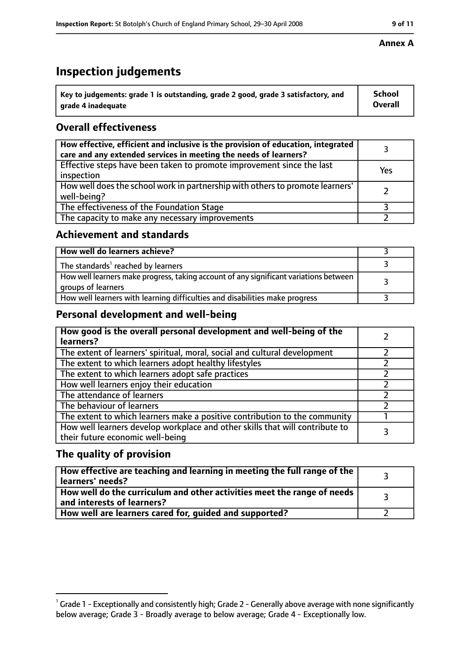# **Inspection judgements**

| $^{\backprime}$ Key to judgements: grade 1 is outstanding, grade 2 good, grade 3 satisfactory, and | School         |
|----------------------------------------------------------------------------------------------------|----------------|
| arade 4 inadequate                                                                                 | <b>Overall</b> |

### **Overall effectiveness**

| How effective, efficient and inclusive is the provision of education, integrated<br>care and any extended services in meeting the needs of learners? |     |
|------------------------------------------------------------------------------------------------------------------------------------------------------|-----|
| Effective steps have been taken to promote improvement since the last<br>inspection                                                                  | Yes |
| How well does the school work in partnership with others to promote learners'<br>well-being?                                                         |     |
| The effectiveness of the Foundation Stage                                                                                                            |     |
| The capacity to make any necessary improvements                                                                                                      |     |

### **Achievement and standards**

| How well do learners achieve?                                                                               |  |
|-------------------------------------------------------------------------------------------------------------|--|
| The standards <sup>1</sup> reached by learners                                                              |  |
| How well learners make progress, taking account of any significant variations between<br>groups of learners |  |
| How well learners with learning difficulties and disabilities make progress                                 |  |

### **Personal development and well-being**

| How good is the overall personal development and well-being of the<br>learners?                                  |  |
|------------------------------------------------------------------------------------------------------------------|--|
| The extent of learners' spiritual, moral, social and cultural development                                        |  |
| The extent to which learners adopt healthy lifestyles                                                            |  |
| The extent to which learners adopt safe practices                                                                |  |
| How well learners enjoy their education                                                                          |  |
| The attendance of learners                                                                                       |  |
| The behaviour of learners                                                                                        |  |
| The extent to which learners make a positive contribution to the community                                       |  |
| How well learners develop workplace and other skills that will contribute to<br>their future economic well-being |  |

### **The quality of provision**

| How effective are teaching and learning in meeting the full range of the<br>learners' needs?          |  |
|-------------------------------------------------------------------------------------------------------|--|
| How well do the curriculum and other activities meet the range of needs<br>and interests of learners? |  |
| How well are learners cared for, guided and supported?                                                |  |

#### **Annex A**

 $^1$  Grade 1 - Exceptionally and consistently high; Grade 2 - Generally above average with none significantly below average; Grade 3 - Broadly average to below average; Grade 4 - Exceptionally low.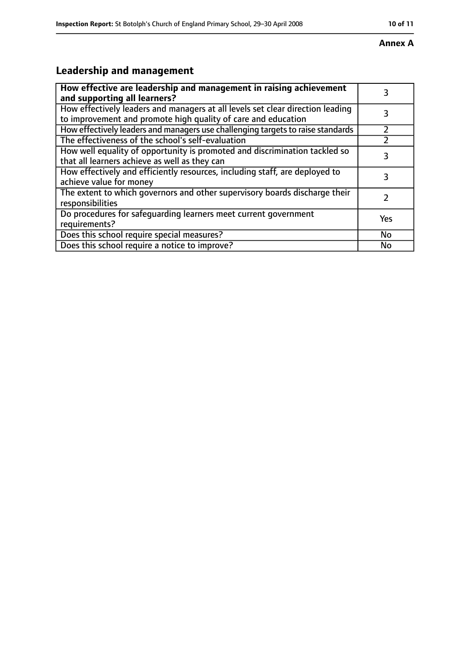#### **Annex A**

# **Leadership and management**

| How effective are leadership and management in raising achievement<br>and supporting all learners?                                              | 3         |
|-------------------------------------------------------------------------------------------------------------------------------------------------|-----------|
| How effectively leaders and managers at all levels set clear direction leading<br>to improvement and promote high quality of care and education |           |
| How effectively leaders and managers use challenging targets to raise standards                                                                 |           |
| The effectiveness of the school's self-evaluation                                                                                               |           |
| How well equality of opportunity is promoted and discrimination tackled so<br>that all learners achieve as well as they can                     | 3         |
| How effectively and efficiently resources, including staff, are deployed to<br>achieve value for money                                          | 3         |
| The extent to which governors and other supervisory boards discharge their<br>responsibilities                                                  |           |
| Do procedures for safequarding learners meet current government<br>requirements?                                                                | Yes       |
| Does this school require special measures?                                                                                                      | <b>No</b> |
| Does this school require a notice to improve?                                                                                                   | No        |